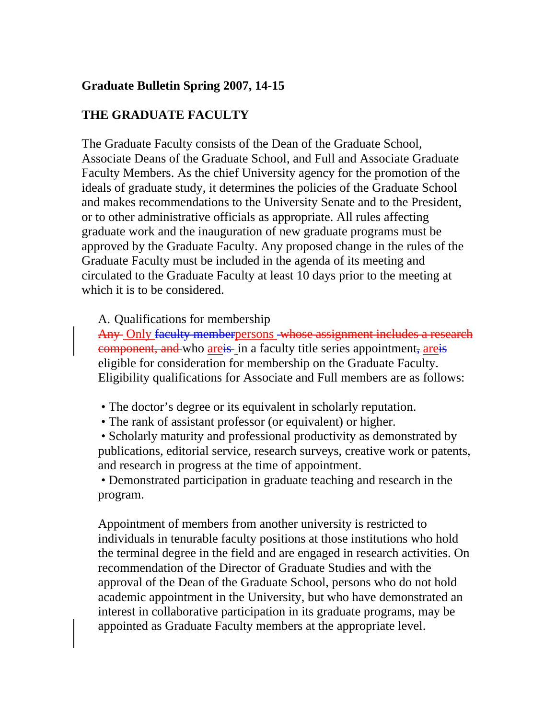# **Graduate Bulletin Spring 2007, 14-15**

## **THE GRADUATE FACULTY**

The Graduate Faculty consists of the Dean of the Graduate School, Associate Deans of the Graduate School, and Full and Associate Graduate Faculty Members. As the chief University agency for the promotion of the ideals of graduate study, it determines the policies of the Graduate School and makes recommendations to the University Senate and to the President, or to other administrative officials as appropriate. All rules affecting graduate work and the inauguration of new graduate programs must be approved by the Graduate Faculty. Any proposed change in the rules of the Graduate Faculty must be included in the agenda of its meeting and circulated to the Graduate Faculty at least 10 days prior to the meeting at which it is to be considered.

A. Qualifications for membership

Any Only faculty memberpersons whose assignment includes a research component, and who areis in a faculty title series appointment, areis eligible for consideration for membership on the Graduate Faculty. Eligibility qualifications for Associate and Full members are as follows:

- The doctor's degree or its equivalent in scholarly reputation.
- The rank of assistant professor (or equivalent) or higher.

 • Scholarly maturity and professional productivity as demonstrated by publications, editorial service, research surveys, creative work or patents, and research in progress at the time of appointment.

 • Demonstrated participation in graduate teaching and research in the program.

Appointment of members from another university is restricted to individuals in tenurable faculty positions at those institutions who hold the terminal degree in the field and are engaged in research activities. On recommendation of the Director of Graduate Studies and with the approval of the Dean of the Graduate School, persons who do not hold academic appointment in the University, but who have demonstrated an interest in collaborative participation in its graduate programs, may be appointed as Graduate Faculty members at the appropriate level.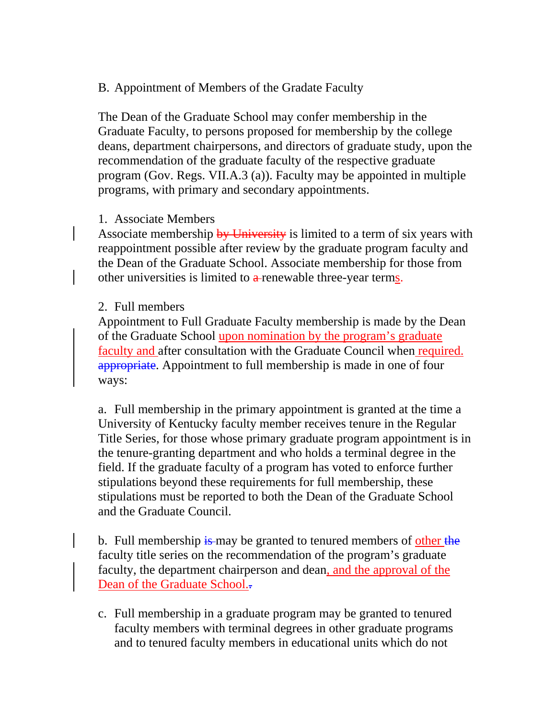## B. Appointment of Members of the Gradate Faculty

The Dean of the Graduate School may confer membership in the Graduate Faculty, to persons proposed for membership by the college deans, department chairpersons, and directors of graduate study, upon the recommendation of the graduate faculty of the respective graduate program (Gov. Regs. VII.A.3 (a)). Faculty may be appointed in multiple programs, with primary and secondary appointments.

## 1. Associate Members

Associate membership by University is limited to a term of six years with reappointment possible after review by the graduate program faculty and the Dean of the Graduate School. Associate membership for those from other universities is limited to  $a$ -renewable three-year terms.

## 2. Full members

Appointment to Full Graduate Faculty membership is made by the Dean of the Graduate School upon nomination by the program's graduate faculty and after consultation with the Graduate Council when required. appropriate. Appointment to full membership is made in one of four ways:

a. Full membership in the primary appointment is granted at the time a University of Kentucky faculty member receives tenure in the Regular Title Series, for those whose primary graduate program appointment is in the tenure-granting department and who holds a terminal degree in the field. If the graduate faculty of a program has voted to enforce further stipulations beyond these requirements for full membership, these stipulations must be reported to both the Dean of the Graduate School and the Graduate Council.

b. Full membership is may be granted to tenured members of other the faculty title series on the recommendation of the program's graduate faculty, the department chairperson and dean, and the approval of the Dean of the Graduate School.

c. Full membership in a graduate program may be granted to tenured faculty members with terminal degrees in other graduate programs and to tenured faculty members in educational units which do not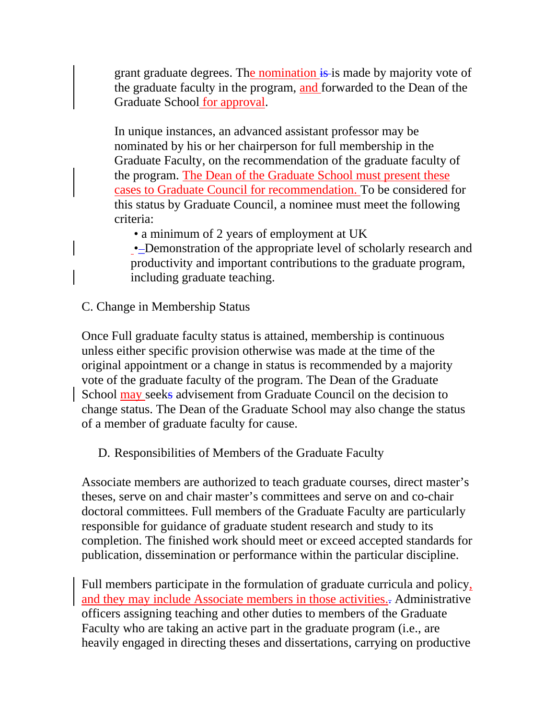grant graduate degrees. The nomination is is made by majority vote of the graduate faculty in the program, and forwarded to the Dean of the Graduate School for approval.

In unique instances, an advanced assistant professor may be nominated by his or her chairperson for full membership in the Graduate Faculty, on the recommendation of the graduate faculty of the program. The Dean of the Graduate School must present these cases to Graduate Council for recommendation. To be considered for this status by Graduate Council, a nominee must meet the following criteria:

• a minimum of 2 years of employment at UK

•-Demonstration of the appropriate level of scholarly research and productivity and important contributions to the graduate program, including graduate teaching.

C. Change in Membership Status

Once Full graduate faculty status is attained, membership is continuous unless either specific provision otherwise was made at the time of the original appointment or a change in status is recommended by a majority vote of the graduate faculty of the program. The Dean of the Graduate School may seeks advisement from Graduate Council on the decision to change status. The Dean of the Graduate School may also change the status of a member of graduate faculty for cause.

D. Responsibilities of Members of the Graduate Faculty

Associate members are authorized to teach graduate courses, direct master's theses, serve on and chair master's committees and serve on and co-chair doctoral committees. Full members of the Graduate Faculty are particularly responsible for guidance of graduate student research and study to its completion. The finished work should meet or exceed accepted standards for publication, dissemination or performance within the particular discipline.

Full members participate in the formulation of graduate curricula and policy, and they may include Associate members in those activities.. Administrative officers assigning teaching and other duties to members of the Graduate Faculty who are taking an active part in the graduate program (i.e., are heavily engaged in directing theses and dissertations, carrying on productive